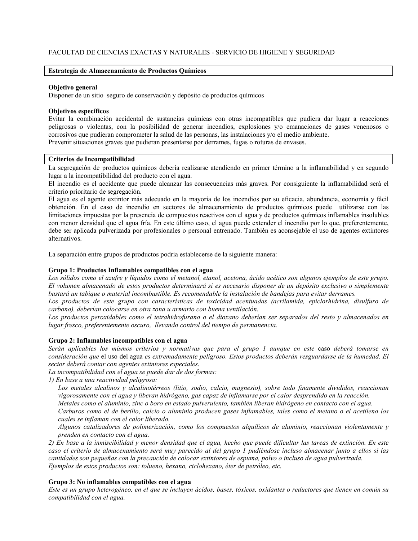# FACULTAD DE CIENCIAS EXACTAS Y NATURALES - SERVICIO DE HIGIENE Y SEGURIDAD

## Estrategia de Almacenamiento de Productos Químicos

#### Objetivo general

Disponer de un sitio seguro de conservación y depósito de productos químicos

#### Objetivos específicos

Evitar la combinación accidental de sustancias químicas con otras incompatibles que pudiera dar lugar a reacciones peligrosas o violentas, con la posibilidad de generar incendios, explosiones y/o emanaciones de gases venenosos o corrosivos que pudieran comprometer la salud de las personas, las instalaciones y/o el medio ambiente. Prevenir situaciones graves que pudieran presentarse por derrames, fugas o roturas de envases.

## Criterios de Incompatibilidad

La segregación de productos químicos debería realizarse atendiendo en primer término a la inflamabilidad y en segundo lugar a la incompatibilidad del producto con el agua.

El incendio es el accidente que puede alcanzar las consecuencias más graves. Por consiguiente la inflamabilidad será el criterio prioritario de segregación.

El agua es el agente extintor más adecuado en la mayoría de los incendios por su eficacia, abundancia, economía y fácil obtención. En el caso de incendio en sectores de almacenamiento de productos químicos puede utilizarse con las limitaciones impuestas por la presencia de compuestos reactivos con el agua y de productos químicos inflamables insolubles con menor densidad que el agua fría. En este último caso, el agua puede extender el incendio por lo que, preferentemente, debe ser aplicada pulverizada por profesionales o personal entrenado. También es aconseiable el uso de agentes extintores alternativos

La separación entre grupos de productos podría establecerse de la siguiente manera:

#### Grupo 1: Productos Inflamables compatibles con el agua

Los sólidos como el azufre y líquidos como el metanol, etanol, acetona, ácido acético son algunos ejemplos de este grupo. El volumen almacenado de estos productos determinará si es necesario disponer de un depósito exclusivo o simplemente bastará un tabique o material incombustible. Es recomendable la instalación de bandejas para evitar derrames.

Los productos de este grupo con características de toxicidad acentuadas (acrilamida, epiclorhidrina, disulfuro de carbono), deberían colocarse en otra zona u armario con buena ventilación.

Los productos peroxidables como el tetrahidrofurano o el dioxano deberían ser separados del resto y almacenados en lugar fresco, preferentemente oscuro, llevando control del tiempo de permanencia.

#### Grupo 2: Inflamables incompatibles con el agua

Serán aplicables los mismos criterios y normativas que para el grupo 1 aunque en este caso deberá tomarse en consideración que el uso del agua es extremadamente peligroso. Estos productos deberán resguardarse de la humedad. El sector deberá contar con agentes extintores especiales.

La incompatibilidad con el agua se puede dar de dos formas:

1) En base a una reactividad peligrosa:

Los metales alcalinos y alcalinotérreos (litio, sodio, calcio, magnesio), sobre todo finamente divididos, reaccionan vigorosamente con el agua y liberan hidrógeno, gas capaz de inflamarse por el calor desprendido en la reacción.

Metales como el aluminio, zinc o boro en estado pulverulento, también liberan hidrógeno en contacto con el agua.

Carburos como el de berilio, calcio o aluminio producen gases inflamables, tales como el metano o el acetileno los cuales se inflaman con el calor liberado.

Algunos catalizadores de polimerización, como los compuestos alguílicos de aluminio, reaccionan violentamente y prenden en contacto con el agua.

2) En base a la inmiscibilidad y menor densidad que el agua, hecho que puede dificultar las tareas de extinción. En este caso el criterio de almacenamiento será muy parecido al del grupo 1 pudiéndose incluso almacenar junto a ellos si las cantidades son pequeñas con la precaución de colocar extintores de espuma, polvo o incluso de agua pulverizada. Ejemplos de estos productos son: tolueno, hexano, ciclohexano, éter de petróleo, etc.

## Grupo 3: No inflamables compatibles con el agua

Este es un grupo heterogéneo, en el que se incluyen ácidos, bases, tóxicos, oxidantes o reductores que tienen en común su compatibilidad con el agua.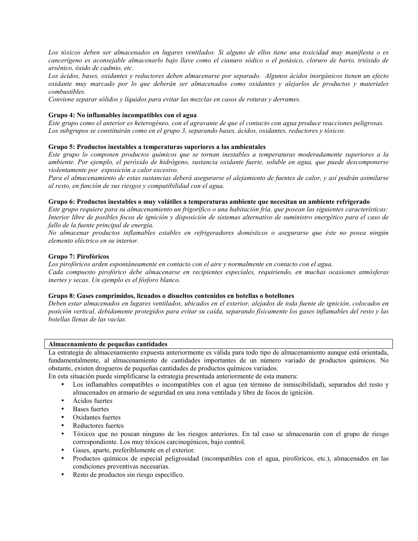Los tóxicos deben ser almacenados en lugares ventilados. Si alguno de ellos tiene una toxicidad muy manifiesta o es cancerígeno es aconsejable almacenarlo bajo llave como el cianuro sódico o el potásico, cloruro de bario, trióxido de arsénico, óxido de cadmio, etc.

Los ácidos, bases, oxidantes y reductores deben almacenarse por separado. Algunos ácidos inorgánicos tienen un efecto oxidante muy marcado por lo que deberán ser almacenados como oxidantes y alejarlos de productos y materiales combustibles.

Conviene separar sólidos y líquidos para evitar las mezclas en casos de roturas y derrames.

## Grupo 4: No inflamables incompatibles con el agua

Este grupo como el anterior es heterogéneo, con el agravante de que el contacto con agua produce reacciones peligrosas. Los subgrupos se constituirán como en el grupo 3, separando bases, ácidos, oxidantes, reductores y tóxicos.

## Grupo 5: Productos inestables a temperaturas superiores a las ambientales

Este grupo lo componen productos químicos que se tornan inestables a temperaturas moderadamente superiores a la ambiente. Por ejemplo, el peróxido de hidrógeno, sustancia oxidante fuerte, soluble en agua, que puede descomponerse violentamente por exposición a calor excesivo.

Para el almacenamiento de estas sustancias deberá asegurarse el alejamiento de fuentes de calor, y así podrán asimilarse al resto, en función de sus riesgos y compatibilidad con el agua.

## Grupo 6: Productos inestables o muy volátiles a temperaturas ambiente que necesitan un ambiente refrigerado

Este grupo requiere para su almacenamiento un frigorífico o una habitación fría, que posean las siguientes características: Interior libre de posibles focos de ignición y disposición de sistemas alternativo de suministro energético para el caso de fallo de la fuente principal de energía.

No almacenar productos inflamables estables en refrigeradores domésticos o asegurarse que éste no posea ningún elemento eléctrico en su interior.

## Grupo 7: Pirofóricos

Los pirofóricos arden espontáneamente en contacto con el aire y normalmente en contacto con el agua.

Cada compuesto pirofórico debe almacenarse en recipientes especiales, requiriendo, en muchas ocasiones atmósferas inertes y secas. Un ejemplo es el fósforo blanco.

# Grupo 8: Gases comprimidos, licuados o disueltos contenidos en botellas o botellones

Deben estar almacenados en lugares ventilados, ubicados en el exterior, alejados de toda fuente de ignición, colocados en posición vertical, debidamente protegidos para evitar su caída, separando físicamente los gases inflamables del resto y las botellas llenas de las vacías.

#### Almacenamiento de pequeñas cantidades

La estrategia de almacenamiento expuesta anteriormente es válida para todo tipo de almacenamiento aunque está orientada, fundamentalmente, al almacenamiento de cantidades importantes de un número variado de productos químicos. No obstante, existen drogueros de pequeñas cantidades de productos químicos variados.

En esta situación puede simplificarse la estrategia presentada anteriormente de esta manera:

- Los inflamables compatibles o incompatibles con el agua (en término de inmiscibilidad), separados del resto y almacenados en armario de seguridad en una zona ventilada y libre de focos de ignición.
- $\bullet$ Acidos fuertes
- **Bases** fuertes
- Oxidantes fuertes
- Reductores fuertes
- Tóxicos que no posean ninguno de los riesgos anteriores. En tal caso se almacenarán con el grupo de riesgo correspondiente. Los muy tóxicos carcinogénicos, bajo control.
- Gases, aparte, preferiblemente en el exterior.
- Productos químicos de especial peligrosidad (incompatibles con el agua, pirofóricos, etc.), almacenados en las  $\bullet$ condiciones preventivas necesarias.
- Resto de productos sin riesgo específico.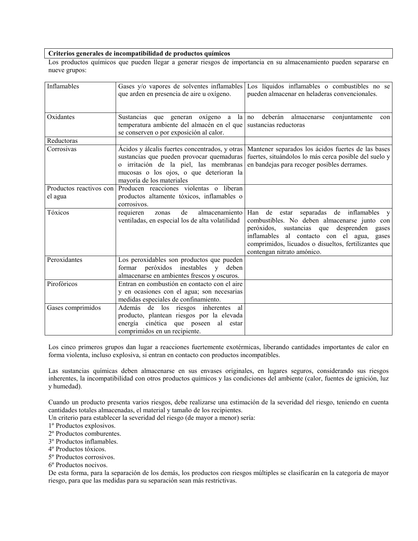## Criterios generales de incompatibilidad de productos químicos

Los productos químicos que pueden llegar a generar riesgos de importancia en su almacenamiento pueden separarse en nueve grupos:

| Inflamables             | Gases y/o vapores de solventes inflamables<br>que arden en presencia de aire u oxígeno.                                                                                                                       | Los líquidos inflamables o combustibles no se<br>pueden almacenar en heladeras convencionales.                                                                                                                                                                                                |
|-------------------------|---------------------------------------------------------------------------------------------------------------------------------------------------------------------------------------------------------------|-----------------------------------------------------------------------------------------------------------------------------------------------------------------------------------------------------------------------------------------------------------------------------------------------|
| Oxidantes               | Sustancias que generan oxígeno a<br>temperatura ambiente del almacén en el que<br>se conserven o por exposición al calor.                                                                                     | la no<br>deberán<br>conjuntamente<br>almacenarse<br>con<br>sustancias reductoras                                                                                                                                                                                                              |
| Reductoras              |                                                                                                                                                                                                               |                                                                                                                                                                                                                                                                                               |
| Corrosivas              | Ácidos y álcalis fuertes concentrados, y otras<br>sustancias que pueden provocar quemaduras<br>o irritación de la piel, las membranas<br>mucosas o los ojos, o que deterioran la<br>mayoría de los materiales | Mantener separados los ácidos fuertes de las bases<br>fuertes, situándolos lo más cerca posible del suelo y<br>en bandejas para recoger posibles derrames.                                                                                                                                    |
| Productos reactivos con | Producen reacciones violentas o liberan                                                                                                                                                                       |                                                                                                                                                                                                                                                                                               |
| el agua                 | productos altamente tóxicos, inflamables o<br>corrosivos.                                                                                                                                                     |                                                                                                                                                                                                                                                                                               |
| Tóxicos                 | de<br>almacenamiento<br>requieren<br>zonas<br>ventiladas, en especial los de alta volatilidad                                                                                                                 | Han de estar<br>separadas de inflamables<br>$\mathbf{V}$<br>combustibles. No deben almacenarse junto con<br>sustancias que desprenden gases<br>peróxidos,<br>inflamables al contacto con el agua, gases<br>comprimidos, licuados o disueltos, fertilizantes que<br>contengan nitrato amónico. |
| Peroxidantes            | Los peroxidables son productos que pueden                                                                                                                                                                     |                                                                                                                                                                                                                                                                                               |
|                         | formar<br>peróxidos inestables y deben<br>almacenarse en ambientes frescos y oscuros.                                                                                                                         |                                                                                                                                                                                                                                                                                               |
| Pirofóricos             | Entran en combustión en contacto con el aire<br>y en ocasiones con el agua; son necesarias<br>medidas especiales de confinamiento.                                                                            |                                                                                                                                                                                                                                                                                               |
| Gases comprimidos       | Además de los riesgos inherentes al<br>producto, plantean riesgos por la elevada<br>energía cinética que poseen al estar<br>comprimidos en un recipiente.                                                     |                                                                                                                                                                                                                                                                                               |

Los cinco primeros grupos dan lugar a reacciones fuertemente exotérmicas, liberando cantidades importantes de calor en forma violenta, incluso explosiva, si entran en contacto con productos incompatibles.

Las sustancias químicas deben almacenarse en sus envases originales, en lugares seguros, considerando sus riesgos inherentes, la incompatibilidad con otros productos químicos y las condiciones del ambiente (calor, fuentes de ignición, luz y humedad).

Cuando un producto presenta varios riesgos, debe realizarse una estimación de la severidad del riesgo, teniendo en cuenta cantidades totales almacenadas, el material y tamaño de los recipientes.

Un criterio para establecer la severidad del riesgo (de mayor a menor) sería:

1º Productos explosivos.

2º Productos comburentes.

- <sup>3°</sup> Productos inflamables.
- 4<sup>°</sup> Productos tóxicos.

5° Productos corrosivos.

6° Productos nocivos.

De esta forma, para la separación de los demás, los productos con riesgos múltiples se clasificarán en la categoría de mayor riesgo, para que las medidas para su separación sean más restrictivas.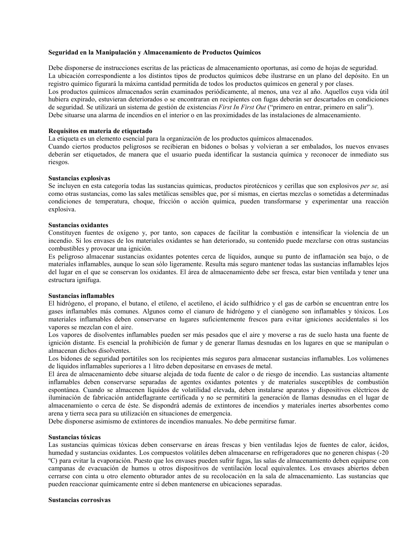## Seguridad en la Manipulación y Almacenamiento de Productos Químicos

Debe disponerse de instrucciones escritas de las prácticas de almacenamiento oportunas, así como de hojas de seguridad. La ubicación correspondiente a los distintos tipos de productos químicos debe ilustrarse en un plano del depósito. En un registro químico figurará la máxima cantidad permitida de todos los productos químicos en general y por clases. Los productos químicos almacenados serán examinados periódicamente, al menos, una vez al año. Aquellos cuva vida útil hubiera expirado, estuvieran deteriorados o se encontraran en recipientes con fugas deberán ser descartados en condiciones de seguridad. Se utilizará un sistema de gestión de existencias First In First Out ("primero en entrar, primero en salir"). Debe situarse una alarma de incendios en el interior o en las proximidades de las instalaciones de almacenamiento.

## Requisitos en materia de etiquetado

La etiqueta es un elemento esencial para la organización de los productos químicos almacenados.

Cuando ciertos productos peligrosos se recibieran en bidones o bolsas y volvieran a ser embalados, los nuevos envases deberán ser etiquetados, de manera que el usuario pueda identificar la sustancia química y reconocer de inmediato sus riesgos.

#### Sustancias explosivas

Se incluyen en esta categoría todas las sustancias químicas, productos pirotécnicos y cerillas que son explosivos per se, así como otras sustancias, como las sales metálicas sensibles que, por sí mismas, en ciertas mezclas o sometidas a determinadas condiciones de temperatura, choque, fricción o acción química, pueden transformarse y experimentar una reacción explosiva.

#### **Sustancias oxidantes**

Constituyen fuentes de oxígeno y, por tanto, son capaces de facilitar la combustión e intensificar la violencia de un incendio. Si los envases de los materiales oxidantes se han deteriorado, su contenido puede mezclarse con otras sustancias combustibles y provocar una ignición.

Es peligroso almacenar sustancias oxidantes potentes cerca de líquidos, aunque su punto de inflamación sea bajo, o de materiales inflamables, aunque lo sean sólo ligeramente. Resulta más seguro mantener todas las sustancias inflamables lejos del lugar en el que se conservan los oxidantes. El área de almacenamiento debe ser fresca, estar bien ventilada y tener una estructura ignífuga.

#### **Sustancias inflamables**

El hidrógeno, el propano, el butano, el etileno, el acetileno, el ácido sulfhídrico y el gas de carbón se encuentran entre los gases inflamables más comunes. Algunos como el cianuro de hidrógeno y el cianógeno son inflamables y tóxicos. Los materiales inflamables deben conservarse en lugares suficientemente frescos para evitar igniciones accidentales si los vapores se mezclan con el aire.

Los vapores de disolventes inflamables pueden ser más pesados que el aire y moverse a ras de suelo hasta una fuente de ignición distante. Es esencial la prohibición de fumar y de generar llamas desnudas en los lugares en que se manipulan o almacenan dichos disolventes.

Los bidones de seguridad portátiles son los recipientes más seguros para almacenar sustancias inflamables. Los volúmenes de líquidos inflamables superiores a 1 litro deben depositarse en envases de metal.

El área de almacenamiento debe situarse alejada de toda fuente de calor o de riesgo de incendio. Las sustancias altamente inflamables deben conservarse separadas de agentes oxidantes potentes y de materiales susceptibles de combustión espontánea. Cuando se almacenen líquidos de volatilidad elevada, deben instalarse aparatos y dispositivos eléctricos de iluminación de fabricación antideflagrante certificada y no se permitirá la generación de llamas desnudas en el lugar de almacenamiento o cerca de éste. Se dispondrá además de extintores de incendios y materiales inertes absorbentes como arena y tierra seca para su utilización en situaciones de emergencia.

Debe disponerse asimismo de extintores de incendios manuales. No debe permitirse fumar.

#### Sustancias tóxicas

Las sustancias químicas tóxicas deben conservarse en áreas frescas y bien ventiladas lejos de fuentes de calor, ácidos, humedad y sustancias oxidantes. Los compuestos volátiles deben almacenarse en refrigeradores que no generen chispas (-20 °C) para evitar la evaporación. Puesto que los envases pueden sufrir fugas, las salas de almacenamiento deben equiparse con campanas de evacuación de humos u otros dispositivos de ventilación local equivalentes. Los envases abiertos deben cerrarse con cinta u otro elemento obturador antes de su recolocación en la sala de almacenamiento. Las sustancias que pueden reaccionar químicamente entre sí deben mantenerse en ubicaciones separadas.

### Sustancias corrosivas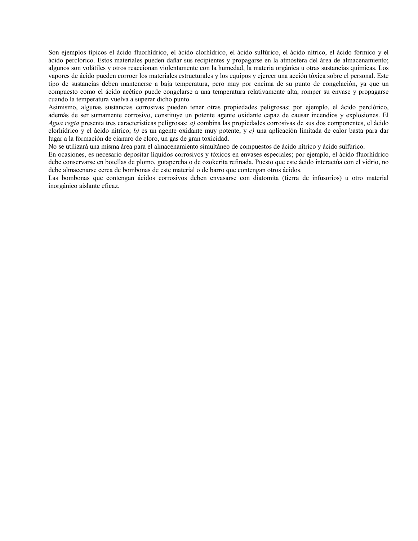Son ejemplos típicos el ácido fluorhídrico, el ácido clorhídrico, el ácido sulfúrico, el ácido nítrico, el ácido fórmico y el ácido perclórico. Estos materiales pueden dañar sus recipientes y propagarse en la atmósfera del área de almacenamiento; algunos son volátiles y otros reaccionan violentamente con la humedad, la materia orgánica u otras sustancias químicas. Los vapores de ácido pueden corroer los materiales estructurales y los equipos y ejercer una acción tóxica sobre el personal. Este tipo de sustancias deben mantenerse a baja temperatura, pero muy por encima de su punto de congelación, ya que un compuesto como el ácido acético puede congelarse a una temperatura relativamente alta, romper su envase y propagarse cuando la temperatura vuelva a superar dicho punto.

Asimismo, algunas sustancias corrosivas pueden tener otras propiedades peligrosas; por ejemplo, el ácido perclórico, además de ser sumamente corrosivo, constituye un potente agente oxidante capaz de causar incendios y explosiones. El Agua regia presenta tres características peligrosas: a) combina las propiedades corrosivas de sus dos componentes, el ácido clorhídrico y el ácido nítrico; b) es un agente oxidante muy potente, y c) una aplicación limitada de calor basta para dar lugar a la formación de cianuro de cloro, un gas de gran toxicidad.

No se utilizará una misma área para el almacenamiento simultáneo de compuestos de ácido nítrico y ácido sulfúrico.

En ocasiones, es necesario depositar líquidos corrosivos y tóxicos en envases especiales; por ejemplo, el ácido fluorhídrico debe conservarse en botellas de plomo, gutapercha o de ozokerita refinada. Puesto que este ácido interactúa con el vidrio, no debe almacenarse cerca de bombonas de este material o de barro que contengan otros ácidos.

Las bombonas que contengan ácidos corrosivos deben envasarse con diatomita (tierra de infusorios) u otro material inorgánico aislante eficaz.